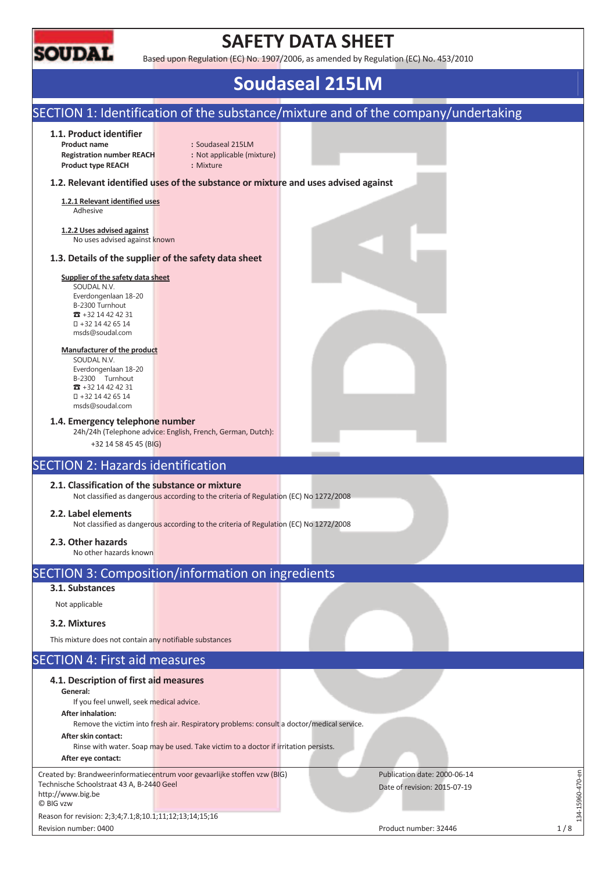

# **SAFETY DATA SHEET**

Based upon Regulation (EC) No. 1907/2006, as amended by Regulation (EC) No. 453/2010

# **Soudaseal 215LM**

#### SECTION 1: Identification of the substance/mixture and of the company/undertaking **1.1. Product identifier Product name :** Soudaseal 215LM **Registration number REACH :** Not applicable (mixture) **Product type REACH :** Mixture **1.2. Relevant identified uses of the substance or mixture and uses advised against 1.2.1 Relevant identified uses**  Adhesive **1.2.2 Uses advised against**  No uses advised against known **1.3. Details of the supplier of the safety data sheet Supplier of the safety data sheet**  SOUDAL N.V. Everdongenlaan 18-20 B-2300 Turnhout  $\pi$  +32 14 42 42 31 +32 14 42 65 14 msds@soudal.com **Manufacturer of the product**  SOUDAL N.V. Everdongenlaan 18-20 B-2300 Turnhout  $\overline{3}$  +32 14 42 42 31 +32 14 42 65 14 msds@soudal.com **1.4. Emergency telephone number**  24h/24h (Telephone advice: English, French, German, Dutch): +32 14 58 45 45 (BIG) SECTION 2: Hazards identification **2.1. Classification of the substance or mixture**  Not classified as dangerous according to the criteria of Regulation (EC) No 1272/2008 **2.2. Label elements**  Not classified as dangerous according to the criteria of Regulation (EC) No 1272/2008 **2.3. Other hazards**  No other hazards known SECTION 3: Composition/information on ingredients **3.1. Substances**  Not applicable **3.2. Mixtures**  This mixture does not contain any notifiable substances SECTION 4: First aid measures **4.1. Description of first aid measures General:**  If you feel unwell, seek medical advice. **After inhalation:**  Remove the victim into fresh air. Respiratory problems: consult a doctor/medical service. **After skin contact:**  Rinse with water. Soap may be used. Take victim to a doctor if irritation persists. **After eye contact:**  134-15960-470-en Created by: Brandweerinformatiecentrum voor gevaarlijke stoffen vzw (BIG) Publication date: 2000-06-14  $-15960 - 470$ -en Technische Schoolstraat 43 A, B-2440 Geel Date of revision: 2015-07-19 http://www.big.be © BIG vzw

Reason for revision: 2;3;4;7.1;8;10.1;11;12;13;14;15;16

Revision number: 0400 **Product number: 32446 Product number: 32446 1/8** 

 $-14$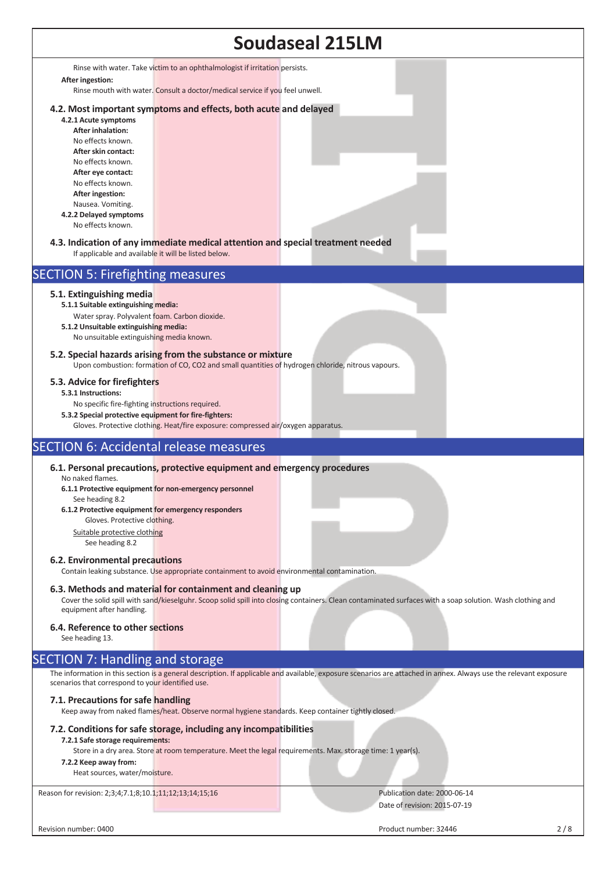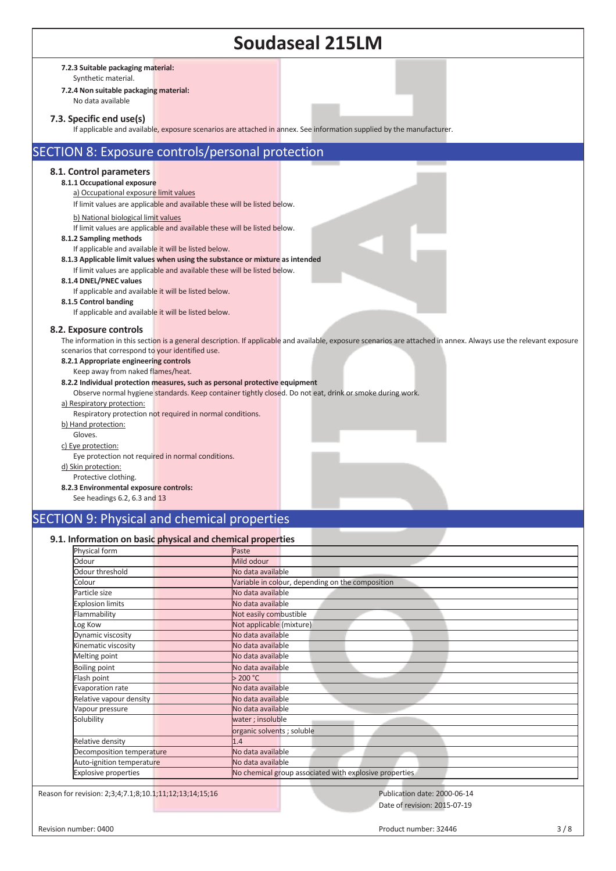| <b>Soudaseal 215LM</b>                                                                                                                                                                                                                                                                                                                                                                                                                                                                                                                                                                                                                                                                                                                                                                     |  |  |  |  |  |  |
|--------------------------------------------------------------------------------------------------------------------------------------------------------------------------------------------------------------------------------------------------------------------------------------------------------------------------------------------------------------------------------------------------------------------------------------------------------------------------------------------------------------------------------------------------------------------------------------------------------------------------------------------------------------------------------------------------------------------------------------------------------------------------------------------|--|--|--|--|--|--|
| 7.2.3 Suitable packaging material:<br>Synthetic material.<br>7.2.4 Non suitable packaging material:<br>No data available                                                                                                                                                                                                                                                                                                                                                                                                                                                                                                                                                                                                                                                                   |  |  |  |  |  |  |
| 7.3. Specific end use(s)<br>If applicable and available, exposure scenarios are attached in annex. See information supplied by the manufacturer.                                                                                                                                                                                                                                                                                                                                                                                                                                                                                                                                                                                                                                           |  |  |  |  |  |  |
| SECTION 8: Exposure controls/personal protection                                                                                                                                                                                                                                                                                                                                                                                                                                                                                                                                                                                                                                                                                                                                           |  |  |  |  |  |  |
| 8.1. Control parameters<br>8.1.1 Occupational exposure<br>a) Occupational exposure limit values<br>If limit values are applicable and available these will be listed below.<br>b) National biological limit values<br>If limit values are applicable and available these will be listed below.<br>8.1.2 Sampling methods<br>If applicable and available it will be listed below.<br>8.1.3 Applicable limit values when using the substance or mixture as intended<br>If limit values are applicable and available these will be listed below.<br>8.1.4 DNEL/PNEC values<br>If applicable and available it will be listed below.<br>8.1.5 Control banding                                                                                                                                   |  |  |  |  |  |  |
| If applicable and available it will be listed below.<br>8.2. Exposure controls<br>The information in this section is a general description. If applicable and available, exposure scenarios are attached in annex. Always use the relevant exposure<br>scenarios that correspond to your identified use.<br>8.2.1 Appropriate engineering controls<br>Keep away from naked flames/heat.<br>8.2.2 Individual protection measures, such as personal protective equipment<br>Observe normal hygiene standards. Keep container tightly closed. Do not eat, drink or smoke during work.<br>a) Respiratory protection:<br>Respiratory protection not required in normal conditions.<br>b) Hand protection:<br>Gloves.<br>c) Eye protection:<br>Eye protection not required in normal conditions. |  |  |  |  |  |  |
| d) Skin protection:                                                                                                                                                                                                                                                                                                                                                                                                                                                                                                                                                                                                                                                                                                                                                                        |  |  |  |  |  |  |

#### Protective clothing. **8.2.3 Environmental exposure controls:**

See headings 6.2, 6.3 and 13

### SECTION 9: Physical and chemical properties

### **9.1. Information on basic physical and chemical properties**

| Physical form                                           | Paste                                                  |  |
|---------------------------------------------------------|--------------------------------------------------------|--|
| Odour                                                   | Mild odour                                             |  |
| Odour threshold                                         | No data available                                      |  |
| Colour                                                  | Variable in colour, depending on the composition       |  |
| Particle size                                           | No data available                                      |  |
| <b>Explosion limits</b>                                 | No data available                                      |  |
| Flammability                                            | Not easily combustible                                 |  |
| Log Kow                                                 | Not applicable (mixture)                               |  |
| Dynamic viscosity                                       | No data available                                      |  |
| Kinematic viscosity                                     | No data available                                      |  |
| Melting point                                           | No data available                                      |  |
| <b>Boiling point</b>                                    | No data available                                      |  |
| Flash point                                             | >200 °C                                                |  |
| Evaporation rate                                        | No data available                                      |  |
| Relative vapour density                                 | No data available                                      |  |
| Vapour pressure                                         | No data available                                      |  |
| Solubility                                              | water; insoluble                                       |  |
|                                                         | organic solvents ; soluble                             |  |
| Relative density                                        | 1.4                                                    |  |
| Decomposition temperature                               | No data available                                      |  |
| Auto-ignition temperature                               | No data available                                      |  |
| Explosive properties                                    | No chemical group associated with explosive properties |  |
| Reason for revision: 2;3;4;7.1;8;10.1;11;12;13;14;15;16 | Publication date: 2000-06-14                           |  |
|                                                         | Date of revision: 2015-07-19                           |  |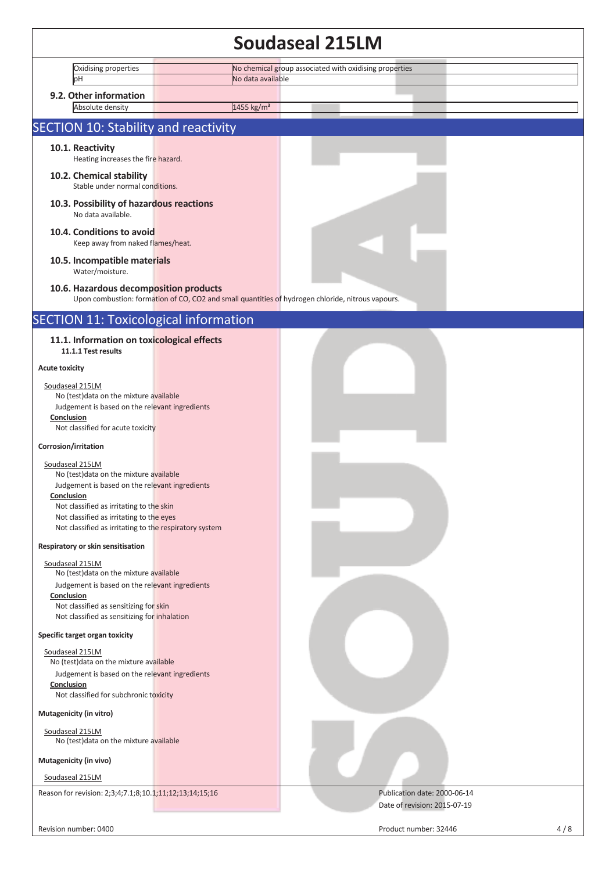### **Soudaseal 215LM**  Oxidising properties **No chemical group associated with oxidising properties pH** No data available **9.2. Other information**  Absolute density 1455 kg/m<sup>3</sup> SECTION 10: Stability and reactivity **10.1. Reactivity** Heating increases the fire hazard. **10.2. Chemical stability**  Stable under normal conditions. **10.3. Possibility of hazardous reactions**  No data available. **10.4. Conditions to avoid**  Keep away from naked flames/heat. **10.5. Incompatible materials**  Water/moisture. **10.6. Hazardous decomposition products**  Upon combustion: formation of CO, CO2 and small quantities of hydrogen chloride, nitrous vapours. SECTION 11: Toxicological information **11.1. Information on toxicological effects 11.1.1 Test results Acute toxicity**  Soudaseal 215LM No (test)data on the mixture available Judgement is based on the relevant ingredients **Conclusion**  Not classified for acute toxicity **Corrosion/irritation**  Soudaseal 215LM No (test)data on the mixture available Judgement is based on the relevant ingredients **Conclusion**  Not classified as irritating to the skin Not classified as irritating to the eyes Not classified as irritating to the respiratory system **Respiratory or skin sensitisation**  Soudaseal 215LM No (test)data on the mixture available Judgement is based on the relevant ingredients **Conclusion**  Not classified as sensitizing for skin Not classified as sensitizing for inhalation **Specific target organ toxicity**  Soudaseal 215LM No (test)data on the mixture available Judgement is based on the relevant ingredients **Conclusion**  Not classified for subchronic toxicity **Mutagenicity (in vitro)**  Soudaseal 215LM No (test)data on the mixture available **Mutagenicity (in vivo)**  Soudaseal 215LM Reason for revision: 2;3;4;7.1;8;10.1;11;12;13;14;15;16 Publication date: 2000-06-14 Date of revision: 2015-07-19 Revision number: 0400 Product number: 32446 4 / 8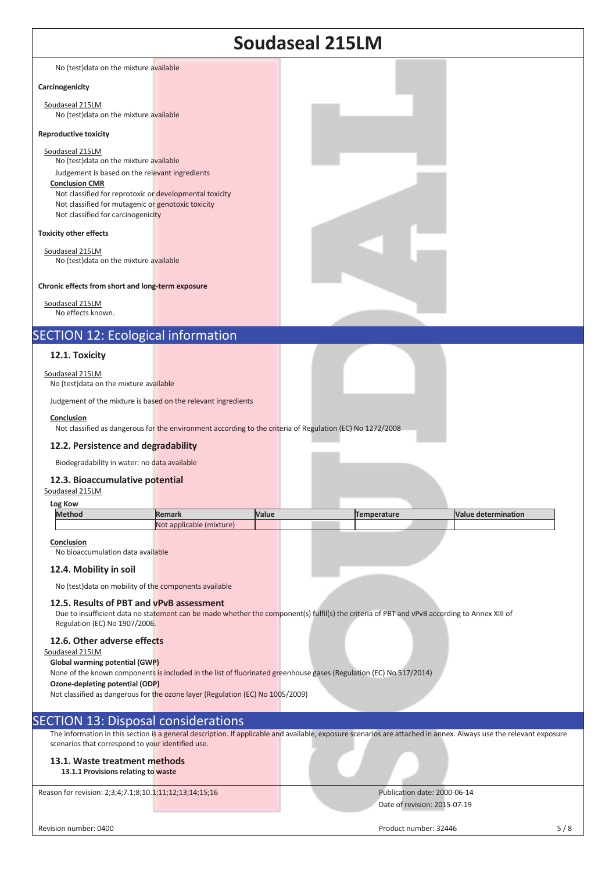| <b>Soudaseal 215LM</b>                                                                                                                                                                                                    |                                                                                                           |       |                                                                                                                                                                   |                            |  |
|---------------------------------------------------------------------------------------------------------------------------------------------------------------------------------------------------------------------------|-----------------------------------------------------------------------------------------------------------|-------|-------------------------------------------------------------------------------------------------------------------------------------------------------------------|----------------------------|--|
|                                                                                                                                                                                                                           |                                                                                                           |       |                                                                                                                                                                   |                            |  |
| No (test) data on the mixture available                                                                                                                                                                                   |                                                                                                           |       |                                                                                                                                                                   |                            |  |
| Carcinogenicity                                                                                                                                                                                                           |                                                                                                           |       |                                                                                                                                                                   |                            |  |
| Soudaseal 215LM<br>No (test) data on the mixture available                                                                                                                                                                |                                                                                                           |       |                                                                                                                                                                   |                            |  |
| <b>Reproductive toxicity</b>                                                                                                                                                                                              |                                                                                                           |       |                                                                                                                                                                   |                            |  |
| Soudaseal 215LM<br>No (test) data on the mixture available                                                                                                                                                                |                                                                                                           |       |                                                                                                                                                                   |                            |  |
| Judgement is based on the relevant ingredients<br><b>Conclusion CMR</b>                                                                                                                                                   |                                                                                                           |       |                                                                                                                                                                   |                            |  |
| Not classified for reprotoxic or developmental toxicity                                                                                                                                                                   |                                                                                                           |       |                                                                                                                                                                   |                            |  |
| Not classified for mutagenic or genotoxic toxicity<br>Not classified for carcinogenicity                                                                                                                                  |                                                                                                           |       |                                                                                                                                                                   |                            |  |
| <b>Toxicity other effects</b>                                                                                                                                                                                             |                                                                                                           |       |                                                                                                                                                                   |                            |  |
| Soudaseal 215LM<br>No (test) data on the mixture available                                                                                                                                                                |                                                                                                           |       |                                                                                                                                                                   |                            |  |
|                                                                                                                                                                                                                           |                                                                                                           |       |                                                                                                                                                                   |                            |  |
| Chronic effects from short and long-term exposure                                                                                                                                                                         |                                                                                                           |       |                                                                                                                                                                   |                            |  |
| Soudaseal 215LM<br>No effects known.                                                                                                                                                                                      |                                                                                                           |       |                                                                                                                                                                   |                            |  |
| <b>SECTION 12: Ecological information</b>                                                                                                                                                                                 |                                                                                                           |       |                                                                                                                                                                   |                            |  |
| 12.1. Toxicity                                                                                                                                                                                                            |                                                                                                           |       |                                                                                                                                                                   |                            |  |
| Soudaseal 215LM<br>No (test) data on the mixture available                                                                                                                                                                |                                                                                                           |       |                                                                                                                                                                   |                            |  |
| Judgement of the mixture is based on the relevant ingredients                                                                                                                                                             |                                                                                                           |       |                                                                                                                                                                   |                            |  |
| Conclusion                                                                                                                                                                                                                | Not classified as dangerous for the environment according to the criteria of Regulation (EC) No 1272/2008 |       |                                                                                                                                                                   |                            |  |
| 12.2. Persistence and degradability                                                                                                                                                                                       |                                                                                                           |       |                                                                                                                                                                   |                            |  |
| Biodegradability in water: no data available                                                                                                                                                                              |                                                                                                           |       |                                                                                                                                                                   |                            |  |
| 12.3. Bioaccumulative potential<br>Soudaseal 215LM                                                                                                                                                                        |                                                                                                           |       |                                                                                                                                                                   |                            |  |
| Log Kow                                                                                                                                                                                                                   |                                                                                                           |       |                                                                                                                                                                   |                            |  |
| <b>Method</b>                                                                                                                                                                                                             | <b>Remark</b><br>Not applicable (mixture)                                                                 | Value | <b>Temperature</b>                                                                                                                                                | <b>Value determination</b> |  |
| Conclusion<br>No bioaccumulation data available                                                                                                                                                                           |                                                                                                           |       |                                                                                                                                                                   |                            |  |
| 12.4. Mobility in soil                                                                                                                                                                                                    |                                                                                                           |       |                                                                                                                                                                   |                            |  |
| No (test) data on mobility of the components available                                                                                                                                                                    |                                                                                                           |       |                                                                                                                                                                   |                            |  |
| 12.5. Results of PBT and vPvB assessment<br>Due to insufficient data no statement can be made whether the component(s) fulfil(s) the criteria of PBT and vPvB according to Annex XIII of<br>Regulation (EC) No 1907/2006. |                                                                                                           |       |                                                                                                                                                                   |                            |  |
| 12.6. Other adverse effects<br>Soudaseal 215LM                                                                                                                                                                            |                                                                                                           |       |                                                                                                                                                                   |                            |  |
| Global warming potential (GWP)                                                                                                                                                                                            |                                                                                                           |       | None of the known components is included in the list of fluorinated greenhouse gases (Regulation (EC) No 517/2014)                                                |                            |  |
| Ozone-depleting potential (ODP)                                                                                                                                                                                           |                                                                                                           |       |                                                                                                                                                                   |                            |  |
| Not classified as dangerous for the ozone layer (Regulation (EC) No 1005/2009)                                                                                                                                            |                                                                                                           |       |                                                                                                                                                                   |                            |  |
| <b>SECTION 13: Disposal considerations</b>                                                                                                                                                                                |                                                                                                           |       |                                                                                                                                                                   |                            |  |
| scenarios that correspond to your identified use.                                                                                                                                                                         |                                                                                                           |       | The information in this section is a general description. If applicable and available, exposure scenarios are attached in annex. Always use the relevant exposure |                            |  |
| 13.1. Waste treatment methods<br>13.1.1 Provisions relating to waste                                                                                                                                                      |                                                                                                           |       |                                                                                                                                                                   |                            |  |
| Reason for revision: 2;3;4;7.1;8;10.1;11;12;13;14;15;16                                                                                                                                                                   |                                                                                                           |       | Publication date: 2000-06-14                                                                                                                                      |                            |  |
|                                                                                                                                                                                                                           |                                                                                                           |       | Date of revision: 2015-07-19                                                                                                                                      |                            |  |
| Revision number: 0400                                                                                                                                                                                                     |                                                                                                           |       | Product number: 32446                                                                                                                                             | 5/8                        |  |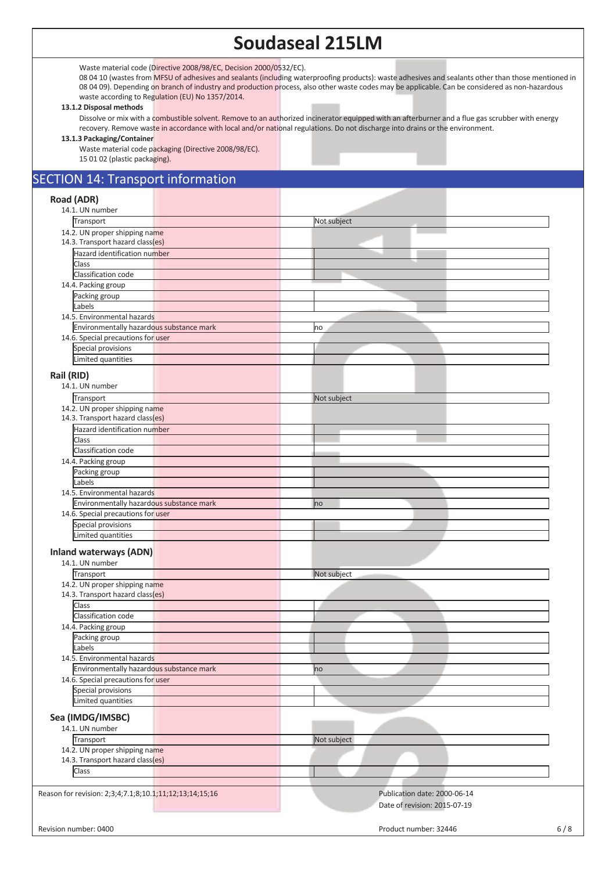## **Soudaseal 215LM**

Waste material code (Directive 2008/98/EC, Decision 2000/0532/EC).

08 04 10 (wastes from MFSU of adhesives and sealants (including waterproofing products): waste adhesives and sealants other than those mentioned in 08 04 09). Depending on branch of industry and production process, also other waste codes may be applicable. Can be considered as non-hazardous waste according to Regulation (EU) No 1357/2014.

#### **13.1.2 Disposal methods**

Dissolve or mix with a combustible solvent. Remove to an authorized incinerator equipped with an afterburner and a flue gas scrubber with energy recovery. Remove waste in accordance with local and/or national regulations. Do not discharge into drains or the environment.

**13.1.3 Packaging/Container** 

Waste material code packaging (Directive 2008/98/EC). 15 01 02 (plastic packaging).

#### SECTION 14: Transport information

#### **Road (ADR)**  14.1. UN number **Transport** Not subject 14.2. UN proper shipping name 14.3. Transport hazard class(es) Hazard identification number Class Classification code 14.4. Packing group Packing group Labels 14.5. Environmental hazards Environmentally hazardous substance mark no matches and the matches of the matches of the matches of the matches 14.6. Special precautions for user Special provisions Limited quantities **Rail (RID)**  14.1. UN number Transport Not subject 14.2. UN proper shipping name 14.3. Transport hazard class(es) Hazard identification number Class Classification code 14.4. Packing group Packing group Labels 14.5. Environmental hazards Environmentally hazardous substance mark no mark no mark no mark 14.6. Special precautions for user Special provisions Limited quantities **Inland waterways (ADN)**  14.1. UN number **Transport** Not subject 14.2. UN proper shipping name 14.3. Transport hazard class(es) **Class** Classification code 14.4. Packing group Packing group Labels 14.5. Environmental hazards Environmentally hazardous substance mark now all the control of the control of the control of the control of the control of the control of the control of the control of the control of the control of the control of the cont 14.6. Special precautions for user Special provisions Limited quantities **Sea (IMDG/IMSBC)**  14.1. UN number Transport Not subject 14.2. UN proper shipping name 14.3. Transport hazard class(es) Class Reason for revision: 2;3;4;7.1;8;10.1;11;12;13;14;15;16 Publication date: 2000-06-14 Date of revision: 2015-07-19 Revision number: 0400 6/8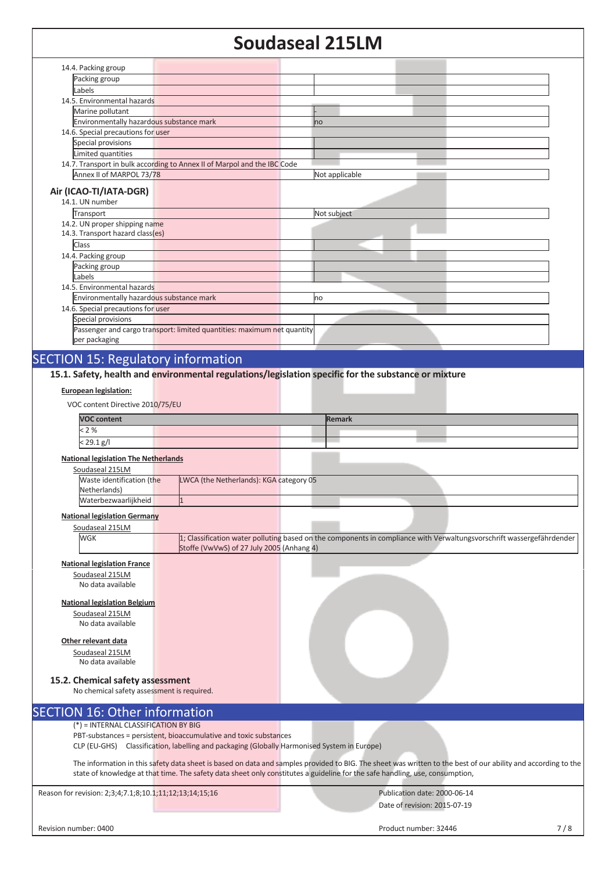## **Soudaseal 215LM**

|                                                         |                                                                                             | JUUUUJLUI EIJLI                                                                                                                                                                                                                                                                               |     |
|---------------------------------------------------------|---------------------------------------------------------------------------------------------|-----------------------------------------------------------------------------------------------------------------------------------------------------------------------------------------------------------------------------------------------------------------------------------------------|-----|
| 14.4. Packing group                                     |                                                                                             |                                                                                                                                                                                                                                                                                               |     |
| Packing group                                           |                                                                                             |                                                                                                                                                                                                                                                                                               |     |
| Labels                                                  |                                                                                             |                                                                                                                                                                                                                                                                                               |     |
| 14.5. Environmental hazards                             |                                                                                             |                                                                                                                                                                                                                                                                                               |     |
| Marine pollutant                                        |                                                                                             |                                                                                                                                                                                                                                                                                               |     |
| Environmentally hazardous substance mark                |                                                                                             | no                                                                                                                                                                                                                                                                                            |     |
| 14.6. Special precautions for user                      |                                                                                             |                                                                                                                                                                                                                                                                                               |     |
| Special provisions                                      |                                                                                             |                                                                                                                                                                                                                                                                                               |     |
| Limited quantities                                      |                                                                                             |                                                                                                                                                                                                                                                                                               |     |
|                                                         | 14.7. Transport in bulk according to Annex II of Marpol and the IBC Code                    |                                                                                                                                                                                                                                                                                               |     |
| Annex II of MARPOL 73/78                                |                                                                                             | Not applicable                                                                                                                                                                                                                                                                                |     |
| Air (ICAO-TI/IATA-DGR)                                  |                                                                                             |                                                                                                                                                                                                                                                                                               |     |
| 14.1. UN number                                         |                                                                                             |                                                                                                                                                                                                                                                                                               |     |
| Transport                                               |                                                                                             | Not subject                                                                                                                                                                                                                                                                                   |     |
| 14.2. UN proper shipping name                           |                                                                                             |                                                                                                                                                                                                                                                                                               |     |
| 14.3. Transport hazard class(es)                        |                                                                                             |                                                                                                                                                                                                                                                                                               |     |
| Class                                                   |                                                                                             |                                                                                                                                                                                                                                                                                               |     |
| 14.4. Packing group                                     |                                                                                             |                                                                                                                                                                                                                                                                                               |     |
| Packing group                                           |                                                                                             |                                                                                                                                                                                                                                                                                               |     |
| Labels                                                  |                                                                                             |                                                                                                                                                                                                                                                                                               |     |
| 14.5. Environmental hazards                             |                                                                                             |                                                                                                                                                                                                                                                                                               |     |
| Environmentally hazardous substance mark                |                                                                                             | no                                                                                                                                                                                                                                                                                            |     |
| 14.6. Special precautions for user                      |                                                                                             |                                                                                                                                                                                                                                                                                               |     |
| Special provisions                                      |                                                                                             |                                                                                                                                                                                                                                                                                               |     |
| per packaging                                           | Passenger and cargo transport: limited quantities: maximum net quantity                     |                                                                                                                                                                                                                                                                                               |     |
|                                                         |                                                                                             |                                                                                                                                                                                                                                                                                               |     |
| <b>SECTION 15: Regulatory information</b>               |                                                                                             |                                                                                                                                                                                                                                                                                               |     |
|                                                         |                                                                                             | 15.1. Safety, health and environmental regulations/legislation specific for the substance or mixture                                                                                                                                                                                          |     |
|                                                         |                                                                                             |                                                                                                                                                                                                                                                                                               |     |
| <b>European legislation:</b>                            |                                                                                             |                                                                                                                                                                                                                                                                                               |     |
| VOC content Directive 2010/75/EU                        |                                                                                             |                                                                                                                                                                                                                                                                                               |     |
| <b>VOC content</b>                                      |                                                                                             |                                                                                                                                                                                                                                                                                               |     |
|                                                         |                                                                                             | <b>Remark</b>                                                                                                                                                                                                                                                                                 |     |
| < 2%                                                    |                                                                                             |                                                                                                                                                                                                                                                                                               |     |
| $< 29.1$ g/l                                            |                                                                                             |                                                                                                                                                                                                                                                                                               |     |
| <b>National legislation The Netherlands</b>             |                                                                                             |                                                                                                                                                                                                                                                                                               |     |
| Soudaseal 215LM                                         |                                                                                             |                                                                                                                                                                                                                                                                                               |     |
| Waste identification (the                               | LWCA (the Netherlands): KGA category 05                                                     |                                                                                                                                                                                                                                                                                               |     |
| Netherlands)                                            |                                                                                             |                                                                                                                                                                                                                                                                                               |     |
| Waterbezwaarlijkheid                                    | $\mathbf{1}$                                                                                |                                                                                                                                                                                                                                                                                               |     |
| <b>National legislation Germany</b>                     |                                                                                             |                                                                                                                                                                                                                                                                                               |     |
| Soudaseal 215LM                                         |                                                                                             |                                                                                                                                                                                                                                                                                               |     |
| WGK                                                     |                                                                                             | 1; Classification water polluting based on the components in compliance with Verwaltungsvorschrift wassergefährdender                                                                                                                                                                         |     |
|                                                         | Stoffe (VwVwS) of 27 July 2005 (Anhang 4)                                                   |                                                                                                                                                                                                                                                                                               |     |
|                                                         |                                                                                             |                                                                                                                                                                                                                                                                                               |     |
| <b>National legislation France</b>                      |                                                                                             |                                                                                                                                                                                                                                                                                               |     |
| Soudaseal 215LM<br>No data available                    |                                                                                             |                                                                                                                                                                                                                                                                                               |     |
|                                                         |                                                                                             |                                                                                                                                                                                                                                                                                               |     |
| <b>National legislation Belgium</b>                     |                                                                                             |                                                                                                                                                                                                                                                                                               |     |
| Soudaseal 215LM                                         |                                                                                             |                                                                                                                                                                                                                                                                                               |     |
| No data available                                       |                                                                                             |                                                                                                                                                                                                                                                                                               |     |
|                                                         |                                                                                             |                                                                                                                                                                                                                                                                                               |     |
| Other relevant data                                     |                                                                                             |                                                                                                                                                                                                                                                                                               |     |
| Soudaseal 215LM<br>No data available                    |                                                                                             |                                                                                                                                                                                                                                                                                               |     |
|                                                         |                                                                                             |                                                                                                                                                                                                                                                                                               |     |
| 15.2. Chemical safety assessment                        |                                                                                             |                                                                                                                                                                                                                                                                                               |     |
| No chemical safety assessment is required.              |                                                                                             |                                                                                                                                                                                                                                                                                               |     |
|                                                         |                                                                                             |                                                                                                                                                                                                                                                                                               |     |
| <b>SECTION 16: Other information</b>                    |                                                                                             |                                                                                                                                                                                                                                                                                               |     |
| (*) = INTERNAL CLASSIFICATION BY BIG                    |                                                                                             |                                                                                                                                                                                                                                                                                               |     |
|                                                         | PBT-substances = persistent, bioaccumulative and toxic substances                           |                                                                                                                                                                                                                                                                                               |     |
|                                                         | CLP (EU-GHS) Classification, labelling and packaging (Globally Harmonised System in Europe) |                                                                                                                                                                                                                                                                                               |     |
|                                                         |                                                                                             |                                                                                                                                                                                                                                                                                               |     |
|                                                         |                                                                                             | The information in this safety data sheet is based on data and samples provided to BIG. The sheet was written to the best of our ability and according to the<br>state of knowledge at that time. The safety data sheet only constitutes a guideline for the safe handling, use, consumption, |     |
|                                                         |                                                                                             |                                                                                                                                                                                                                                                                                               |     |
| Reason for revision: 2;3;4;7.1;8;10.1;11;12;13;14;15;16 |                                                                                             | Publication date: 2000-06-14                                                                                                                                                                                                                                                                  |     |
|                                                         |                                                                                             | Date of revision: 2015-07-19                                                                                                                                                                                                                                                                  |     |
|                                                         |                                                                                             |                                                                                                                                                                                                                                                                                               |     |
| Revision number: 0400                                   |                                                                                             | Product number: 32446                                                                                                                                                                                                                                                                         | 7/8 |
|                                                         |                                                                                             |                                                                                                                                                                                                                                                                                               |     |